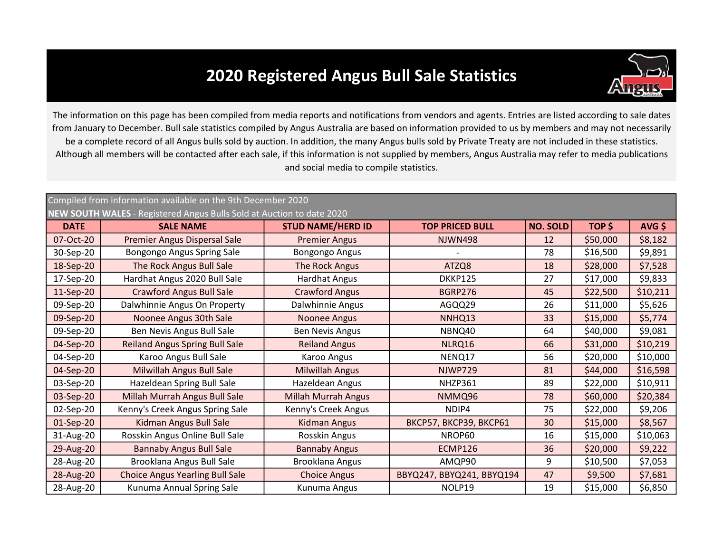## 2020 Registered Angus Bull Sale Statistics



The information on this page has been compiled from media reports and notifications from vendors and agents. Entries are listed according to sale dates from January to December. Bull sale statistics compiled by Angus Australia are based on information provided to us by members and may not necessarily be a complete record of all Angus bulls sold by auction. In addition, the many Angus bulls sold by Private Treaty are not included in these statistics. Although all members will be contacted after each sale, if this information is not supplied by members, Angus Australia may refer to media publications and social media to compile statistics.

## DATE TOP PRICED BULL NO. SOLD AVG \$ SALE NAME STUD NAME/HERD ID 07-Oct-20 | Premier Angus Dispersal Sale | Premier Angus | NJWN498 | 12 | \$50,000 | \$8,182 30-Sep-20 | Bongongo Angus Spring Sale | Bongongo Angus | Canada | T8 | \$16,500 | \$9,891 18-Sep-20 | The Rock Angus Bull Sale | The Rock Angus | ATZQ8 | 18 | \$28,000 | \$7,528 17-Sep-20 | Hardhat Angus 2020 Bull Sale | Hardhat Angus | DKKP125 | 27 | \$17,000 | \$9,833 11-Sep-20 | Crawford Angus Bull Sale | Crawford Angus | BGRP276 | 45 | \$22,500 | \$10,211 09-Sep-20 | Dalwhinnie Angus On Property | Dalwhinnie Angus | AGQQ29 | 26 | \$11,000 | \$5,626 09-Sep-20 | Noonee Angus 30th Sale | Noonee Angus | NNHQ13 | 33 | \$15,000 | \$5,774 09-Sep-20 | Ben Nevis Angus Bull Sale | Ben Nevis Angus | NBNQ40 | 64 | \$40,000 | \$9,081 04-Sep-20 | Reiland Angus Spring Bull Sale | Reiland Angus | NLRQ16 | 66 | \$31,000 | \$10,219 04-Sep-20 NENQ17 56 \$10,000 Karoo Angus Bull Sale 04-Sep-20 | Milwillah Angus Bull Sale | Milwillah Angus | NJWP729 | 81 | \$44,000 | \$16,598 03-Sep-20 | Hazeldean Spring Bull Sale | Hazeldean Angus | NHZP361 | 89 | \$22,000 | \$10,911 03-Sep-20 | Millah Murrah Angus Bull Sale | Millah Murrah Angus | NMMQ96 | 78 | \$60,000 | \$20,384 02-Sep-20 | Kenny's Creek Angus Spring Sale | Kenny's Creek Angus | NDIP4 | 75 | \$22,000 | \$9,206 01-Sep-20 | Kidman Angus Bull Sale | Kidman Angus | BKCP57, BKCP39, BKCP61 | 30 | \$15,000 | \$8,567 31-Aug-20 | Rosskin Angus Online Bull Sale | Rosskin Angus | NROP60 | 16 | \$15,000 | \$10,063 29-Aug-20 | Bannaby Angus Bull Sale | Bannaby Angus | ECMP126 | 36 | \$20,000 | \$9,222 28-Aug-20 | Brooklana Angus Bull Sale | Brooklana Angus | AMQP90 | 9 | \$10,500 | \$7,053 28-Aug-20 Choice Angus Yearling Bull Sale Choice Angus BBYQ247, BBYQ241, BBYQ194 47 S9,500 \$7,681 28-Aug-20 | Kunuma Annual Spring Sale | Kunuma Angus | NOLP19 | 19 | \$15,000 | \$6,850 \$17,000 Crawford Angus (1990) 1990 BGRP276 (1991) 1991 1992,500 \$16,500 \$28,000 TOP \$ \$50,000 Compiled from information available on the 9th December 2020 NEW SOUTH WALES - Registered Angus Bulls Sold at Auction to date 2020 \$40,000 \$31,000 \$11,000 \$15,000 \$20,000 \$22,000 \$15,000 \$20,000 \$10,500 BBYQ247, BBYQ241, BBYQ194 \$60,000 \$44,000 \$22,000 \$15,000 \$15,000 Premier Angus Bongongo Angus The Rock Angus Hardhat Angus Kidman Angus Bull Sale Kunuma Angus Dalwhinnie Angus Millah Murrah Angus Kenny's Creek Angus Kidman Angus Rosskin Angus Bannaby Angus Brooklana Angus Noonee Angus Ben Nevis Angus Reiland Angus Karoo Angus Milwillah Angus Hazeldean Angus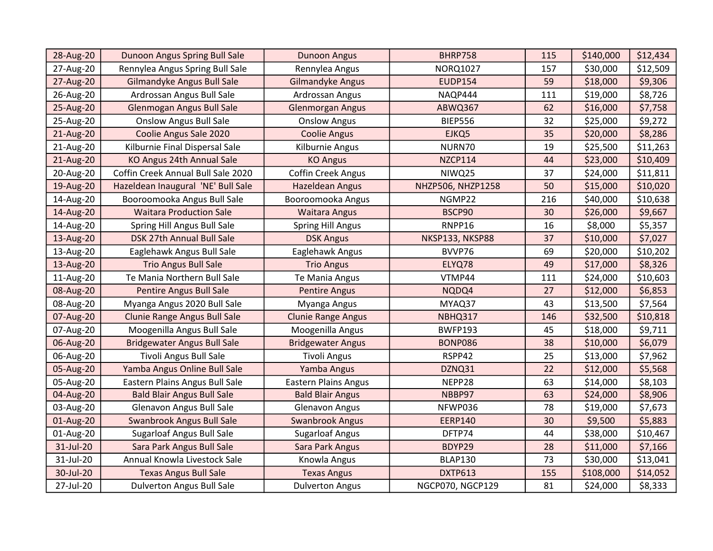| 28-Aug-20 | Dunoon Angus Spring Bull Sale       | <b>Dunoon Angus</b>         | <b>BHRP758</b>    | 115 | \$140,000 | \$12,434 |
|-----------|-------------------------------------|-----------------------------|-------------------|-----|-----------|----------|
| 27-Aug-20 | Rennylea Angus Spring Bull Sale     | Rennylea Angus              | <b>NORQ1027</b>   | 157 | \$30,000  | \$12,509 |
| 27-Aug-20 | Gilmandyke Angus Bull Sale          | <b>Gilmandyke Angus</b>     | <b>EUDP154</b>    | 59  | \$18,000  | \$9,306  |
| 26-Aug-20 | Ardrossan Angus Bull Sale           | Ardrossan Angus             | NAQP444           | 111 | \$19,000  | \$8,726  |
| 25-Aug-20 | Glenmogan Angus Bull Sale           | <b>Glenmorgan Angus</b>     | ABWQ367           | 62  | \$16,000  | \$7,758  |
| 25-Aug-20 | <b>Onslow Angus Bull Sale</b>       | <b>Onslow Angus</b>         | <b>BIEP556</b>    | 32  | \$25,000  | \$9,272  |
| 21-Aug-20 | Coolie Angus Sale 2020              | <b>Coolie Angus</b>         | EJKQ5             | 35  | \$20,000  | \$8,286  |
| 21-Aug-20 | Kilburnie Final Dispersal Sale      | Kilburnie Angus             | NURN70            | 19  | \$25,500  | \$11,263 |
| 21-Aug-20 | KO Angus 24th Annual Sale           | <b>KO Angus</b>             | <b>NZCP114</b>    | 44  | \$23,000  | \$10,409 |
| 20-Aug-20 | Coffin Creek Annual Bull Sale 2020  | <b>Coffin Creek Angus</b>   | NIWQ25            | 37  | \$24,000  | \$11,811 |
| 19-Aug-20 | Hazeldean Inaugural 'NE' Bull Sale  | <b>Hazeldean Angus</b>      | NHZP506, NHZP1258 | 50  | \$15,000  | \$10,020 |
| 14-Aug-20 | Booroomooka Angus Bull Sale         | Booroomooka Angus           | NGMP22            | 216 | \$40,000  | \$10,638 |
| 14-Aug-20 | <b>Waitara Production Sale</b>      | <b>Waitara Angus</b>        | BSCP90            | 30  | \$26,000  | \$9,667  |
| 14-Aug-20 | Spring Hill Angus Bull Sale         | <b>Spring Hill Angus</b>    | RNPP16            | 16  | \$8,000   | \$5,357  |
| 13-Aug-20 | DSK 27th Annual Bull Sale           | <b>DSK Angus</b>            | NKSP133, NKSP88   | 37  | \$10,000  | \$7,027  |
| 13-Aug-20 | Eaglehawk Angus Bull Sale           | Eaglehawk Angus             | BVVP76            | 69  | \$20,000  | \$10,202 |
| 13-Aug-20 | <b>Trio Angus Bull Sale</b>         | <b>Trio Angus</b>           | ELYQ78            | 49  | \$17,000  | \$8,326  |
| 11-Aug-20 | Te Mania Northern Bull Sale         | Te Mania Angus              | VTMP44            | 111 | \$24,000  | \$10,603 |
| 08-Aug-20 | <b>Pentire Angus Bull Sale</b>      | <b>Pentire Angus</b>        | NQDQ4             | 27  | \$12,000  | \$6,853  |
| 08-Aug-20 | Myanga Angus 2020 Bull Sale         | Myanga Angus                | MYAQ37            | 43  | \$13,500  | \$7,564  |
| 07-Aug-20 | <b>Clunie Range Angus Bull Sale</b> | <b>Clunie Range Angus</b>   | NBHQ317           | 146 | \$32,500  | \$10,818 |
| 07-Aug-20 | Moogenilla Angus Bull Sale          | Moogenilla Angus            | <b>BWFP193</b>    | 45  | \$18,000  | \$9,711  |
| 06-Aug-20 | <b>Bridgewater Angus Bull Sale</b>  | <b>Bridgewater Angus</b>    | <b>BONP086</b>    | 38  | \$10,000  | \$6,079  |
| 06-Aug-20 | <b>Tivoli Angus Bull Sale</b>       | <b>Tivoli Angus</b>         | RSPP42            | 25  | \$13,000  | \$7,962  |
| 05-Aug-20 | Yamba Angus Online Bull Sale        | Yamba Angus                 | DZNQ31            | 22  | \$12,000  | \$5,568  |
| 05-Aug-20 | Eastern Plains Angus Bull Sale      | <b>Eastern Plains Angus</b> | NEPP28            | 63  | \$14,000  | \$8,103  |
| 04-Aug-20 | <b>Bald Blair Angus Bull Sale</b>   | <b>Bald Blair Angus</b>     | NBBP97            | 63  | \$24,000  | \$8,906  |
| 03-Aug-20 | Glenavon Angus Bull Sale            | <b>Glenavon Angus</b>       | NFWP036           | 78  | \$19,000  | \$7,673  |
| 01-Aug-20 | Swanbrook Angus Bull Sale           | <b>Swanbrook Angus</b>      | <b>EERP140</b>    | 30  | \$9,500   | \$5,883  |
| 01-Aug-20 | <b>Sugarloaf Angus Bull Sale</b>    | <b>Sugarloaf Angus</b>      | DFTP74            | 44  | \$38,000  | \$10,467 |
| 31-Jul-20 | Sara Park Angus Bull Sale           | Sara Park Angus             | BDYP29            | 28  | \$11,000  | \$7,166  |
| 31-Jul-20 | Annual Knowla Livestock Sale        | Knowla Angus                | <b>BLAP130</b>    | 73  | \$30,000  | \$13,041 |
| 30-Jul-20 | <b>Texas Angus Bull Sale</b>        | <b>Texas Angus</b>          | <b>DXTP613</b>    | 155 | \$108,000 | \$14,052 |
| 27-Jul-20 | <b>Dulverton Angus Bull Sale</b>    | <b>Dulverton Angus</b>      | NGCP070, NGCP129  | 81  | \$24,000  | \$8,333  |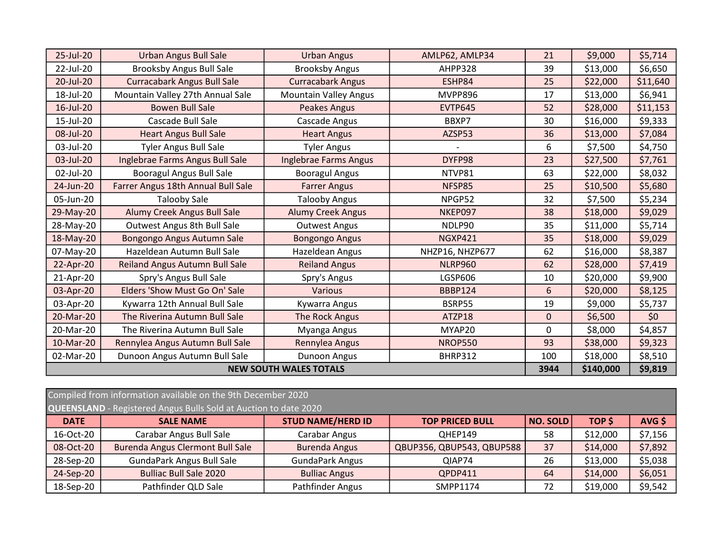| 25-Jul-20 | <b>Urban Angus Bull Sale</b>       | <b>Urban Angus</b>            | AMLP62, AMLP34  | 21          | \$9,000   | \$5,714  |
|-----------|------------------------------------|-------------------------------|-----------------|-------------|-----------|----------|
| 22-Jul-20 | <b>Brooksby Angus Bull Sale</b>    | <b>Brooksby Angus</b>         | AHPP328         | 39          | \$13,000  | \$6,650  |
| 20-Jul-20 | <b>Curracabark Angus Bull Sale</b> | <b>Curracabark Angus</b>      | ESHP84          | 25          | \$22,000  | \$11,640 |
| 18-Jul-20 | Mountain Valley 27th Annual Sale   | <b>Mountain Valley Angus</b>  | <b>MVPP896</b>  | 17          | \$13,000  | \$6,941  |
| 16-Jul-20 | <b>Bowen Bull Sale</b>             | <b>Peakes Angus</b>           | <b>EVTP645</b>  | 52          | \$28,000  | \$11,153 |
| 15-Jul-20 | Cascade Bull Sale                  | Cascade Angus                 | BBXP7           | 30          | \$16,000  | \$9,333  |
| 08-Jul-20 | <b>Heart Angus Bull Sale</b>       | <b>Heart Angus</b>            | AZSP53          | 36          | \$13,000  | \$7,084  |
| 03-Jul-20 | <b>Tyler Angus Bull Sale</b>       | <b>Tyler Angus</b>            |                 | 6           | \$7,500   | \$4,750  |
| 03-Jul-20 | Inglebrae Farms Angus Bull Sale    | Inglebrae Farms Angus         | DYFP98          | 23          | \$27,500  | \$7,761  |
| 02-Jul-20 | <b>Booragul Angus Bull Sale</b>    | <b>Booragul Angus</b>         | NTVP81          | 63          | \$22,000  | \$8,032  |
| 24-Jun-20 | Farrer Angus 18th Annual Bull Sale | <b>Farrer Angus</b>           | NFSP85          | 25          | \$10,500  | \$5,680  |
| 05-Jun-20 | <b>Talooby Sale</b>                | <b>Talooby Angus</b>          | NPGP52          | 32          | \$7,500   | \$5,234  |
| 29-May-20 | Alumy Creek Angus Bull Sale        | <b>Alumy Creek Angus</b>      | NKEP097         | 38          | \$18,000  | \$9,029  |
| 28-May-20 | Outwest Angus 8th Bull Sale        | <b>Outwest Angus</b>          | NDLP90          | 35          | \$11,000  | \$5,714  |
| 18-May-20 | Bongongo Angus Autumn Sale         | <b>Bongongo Angus</b>         | <b>NGXP421</b>  | 35          | \$18,000  | \$9,029  |
| 07-May-20 | Hazeldean Autumn Bull Sale         | Hazeldean Angus               | NHZP16, NHZP677 | 62          | \$16,000  | \$8,387  |
| 22-Apr-20 | Reiland Angus Autumn Bull Sale     | <b>Reiland Angus</b>          | <b>NLRP960</b>  | 62          | \$28,000  | \$7,419  |
| 21-Apr-20 | Spry's Angus Bull Sale             | Spry's Angus                  | <b>LGSP606</b>  | 10          | \$20,000  | \$9,900  |
| 03-Apr-20 | Elders 'Show Must Go On' Sale      | <b>Various</b>                | <b>BBBP124</b>  | 6           | \$20,000  | \$8,125  |
| 03-Apr-20 | Kywarra 12th Annual Bull Sale      | Kywarra Angus                 | BSRP55          | 19          | \$9,000   | \$5,737  |
| 20-Mar-20 | The Riverina Autumn Bull Sale      | The Rock Angus                | ATZP18          | $\mathbf 0$ | \$6,500   | \$0      |
| 20-Mar-20 | The Riverina Autumn Bull Sale      | Myanga Angus                  | MYAP20          | 0           | \$8,000   | \$4,857  |
| 10-Mar-20 | Rennylea Angus Autumn Bull Sale    | Rennylea Angus                | <b>NROP550</b>  | 93          | \$38,000  | \$9,323  |
| 02-Mar-20 | Dunoon Angus Autumn Bull Sale      | Dunoon Angus                  | BHRP312         | 100         | \$18,000  | \$8,510  |
|           |                                    | <b>NEW SOUTH WALES TOTALS</b> |                 | 3944        | \$140,000 | \$9,819  |

|                                                                  | Compiled from information available on the 9th December 2020 |                          |                           |                 |          |         |  |  |  |
|------------------------------------------------------------------|--------------------------------------------------------------|--------------------------|---------------------------|-----------------|----------|---------|--|--|--|
| QUEENSLAND - Registered Angus Bulls Sold at Auction to date 2020 |                                                              |                          |                           |                 |          |         |  |  |  |
| <b>DATE</b>                                                      | <b>SALE NAME</b>                                             | <b>STUD NAME/HERD ID</b> | <b>TOP PRICED BULL</b>    | <b>NO. SOLD</b> | TOP \$   | AVG \$  |  |  |  |
| 16-Oct-20                                                        | Carabar Angus Bull Sale                                      | Carabar Angus            | OHEP149                   | 58              | \$12,000 | \$7,156 |  |  |  |
| 08-Oct-20                                                        | Burenda Angus Clermont Bull Sale                             | <b>Burenda Angus</b>     | QBUP356, QBUP543, QBUP588 | 37              | \$14,000 | \$7,892 |  |  |  |
| 28-Sep-20                                                        | <b>GundaPark Angus Bull Sale</b>                             | <b>GundaPark Angus</b>   | QIAP74                    | 26              | \$13,000 | \$5,038 |  |  |  |
| 24-Sep-20                                                        | <b>Bulliac Bull Sale 2020</b>                                | <b>Bulliac Angus</b>     | QPDP411                   | 64              | \$14,000 | \$6,051 |  |  |  |
| 18-Sep-20                                                        | Pathfinder QLD Sale                                          | Pathfinder Angus         | SMPP1174                  | 72              | \$19,000 | \$9,542 |  |  |  |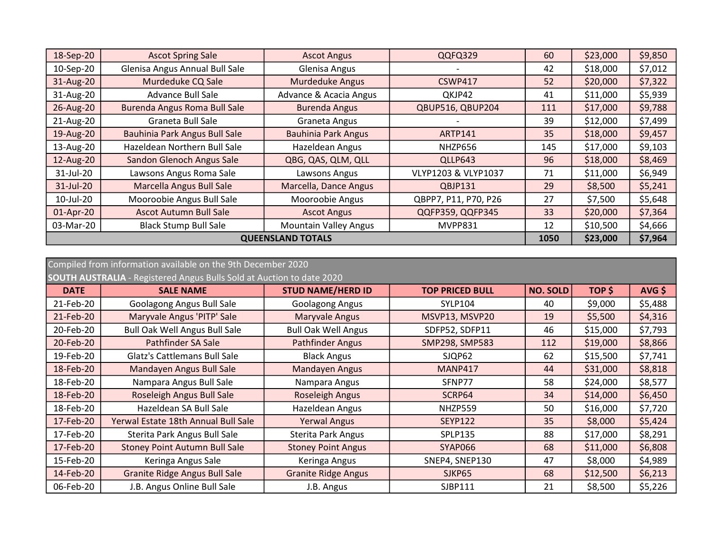| 18-Sep-20                | <b>Ascot Spring Sale</b>            | <b>Ascot Angus</b>           | QQFQ329              | 60  | \$23,000 | \$9,850 |
|--------------------------|-------------------------------------|------------------------------|----------------------|-----|----------|---------|
| 10-Sep-20                | Glenisa Angus Annual Bull Sale      | Glenisa Angus                |                      | 42  | \$18,000 | \$7,012 |
| 31-Aug-20                | Murdeduke CQ Sale                   | <b>Murdeduke Angus</b>       | CSWP417              | 52  | \$20,000 | \$7,322 |
| 31-Aug-20                | <b>Advance Bull Sale</b>            | Advance & Acacia Angus       | QKJP42               | 41  | \$11,000 | \$5,939 |
| 26-Aug-20                | <b>Burenda Angus Roma Bull Sale</b> | <b>Burenda Angus</b>         | QBUP516, QBUP204     | 111 | \$17,000 | \$9,788 |
| 21-Aug-20                | <b>Graneta Bull Sale</b>            | Graneta Angus                |                      | 39  | \$12,000 | \$7,499 |
| 19-Aug-20                | Bauhinia Park Angus Bull Sale       | <b>Bauhinia Park Angus</b>   | <b>ARTP141</b>       | 35  | \$18,000 | \$9,457 |
| 13-Aug-20                | Hazeldean Northern Bull Sale        | Hazeldean Angus              | NHZP656              | 145 | \$17,000 | \$9,103 |
| 12-Aug-20                | Sandon Glenoch Angus Sale           | QBG, QAS, QLM, QLL           | QLLP643              | 96  | \$18,000 | \$8,469 |
| 31-Jul-20                | Lawsons Angus Roma Sale             | Lawsons Angus                | VLYP1203 & VLYP1037  | 71  | \$11,000 | \$6,949 |
| 31-Jul-20                | Marcella Angus Bull Sale            | Marcella, Dance Angus        | QBJP131              | 29  | \$8,500  | \$5,241 |
| 10-Jul-20                | Mooroobie Angus Bull Sale           | Mooroobie Angus              | QBPP7, P11, P70, P26 | 27  | \$7,500  | \$5,648 |
| 01-Apr-20                | <b>Ascot Autumn Bull Sale</b>       | <b>Ascot Angus</b>           | QQFP359, QQFP345     | 33  | \$20,000 | \$7,364 |
| 03-Mar-20                | <b>Black Stump Bull Sale</b>        | <b>Mountain Valley Angus</b> | MVPP831              | 12  | \$10,500 | \$4,666 |
| <b>QUEENSLAND TOTALS</b> |                                     |                              |                      |     | \$23,000 | \$7,964 |

|                                                                              | Compiled from information available on the 9th December 2020 |                            |                        |                 |          |         |  |  |
|------------------------------------------------------------------------------|--------------------------------------------------------------|----------------------------|------------------------|-----------------|----------|---------|--|--|
| <b>SOUTH AUSTRALIA</b> - Registered Angus Bulls Sold at Auction to date 2020 |                                                              |                            |                        |                 |          |         |  |  |
| <b>DATE</b>                                                                  | <b>SALE NAME</b>                                             | <b>STUD NAME/HERD ID</b>   | <b>TOP PRICED BULL</b> | <b>NO. SOLD</b> | TOP \$   | AVG \$  |  |  |
| 21-Feb-20                                                                    | Goolagong Angus Bull Sale                                    | Goolagong Angus            | <b>SYLP104</b>         | 40              | \$9,000  | \$5,488 |  |  |
| 21-Feb-20                                                                    | Maryvale Angus 'PITP' Sale                                   | Maryvale Angus             | MSVP13, MSVP20         | 19              | \$5,500  | \$4,316 |  |  |
| 20-Feb-20                                                                    | <b>Bull Oak Well Angus Bull Sale</b>                         | <b>Bull Oak Well Angus</b> | SDFP52, SDFP11         | 46              | \$15,000 | \$7,793 |  |  |
| 20-Feb-20                                                                    | Pathfinder SA Sale                                           | <b>Pathfinder Angus</b>    | SMP298, SMP583         | 112             | \$19,000 | \$8,866 |  |  |
| 19-Feb-20                                                                    | <b>Glatz's Cattlemans Bull Sale</b>                          | <b>Black Angus</b>         | SJQP62                 | 62              | \$15,500 | \$7,741 |  |  |
| 18-Feb-20                                                                    | Mandayen Angus Bull Sale                                     | Mandayen Angus             | <b>MANP417</b>         | 44              | \$31,000 | \$8,818 |  |  |
| 18-Feb-20                                                                    | Nampara Angus Bull Sale                                      | Nampara Angus              | SFNP77                 | 58              | \$24,000 | \$8,577 |  |  |
| 18-Feb-20                                                                    | Roseleigh Angus Bull Sale                                    | Roseleigh Angus            | SCRP64                 | 34              | \$14,000 | \$6,450 |  |  |
| 18-Feb-20                                                                    | Hazeldean SA Bull Sale                                       | Hazeldean Angus            | NHZP559                | 50              | \$16,000 | \$7,720 |  |  |
| 17-Feb-20                                                                    | Yerwal Estate 18th Annual Bull Sale                          | <b>Yerwal Angus</b>        | <b>SEYP122</b>         | 35              | \$8,000  | \$5,424 |  |  |
| 17-Feb-20                                                                    | Sterita Park Angus Bull Sale                                 | Sterita Park Angus         | <b>SPLP135</b>         | 88              | \$17,000 | \$8,291 |  |  |
| 17-Feb-20                                                                    | <b>Stoney Point Autumn Bull Sale</b>                         | <b>Stoney Point Angus</b>  | SYAP066                | 68              | \$11,000 | \$6,808 |  |  |
| 15-Feb-20                                                                    | Keringa Angus Sale                                           | Keringa Angus              | SNEP4, SNEP130         | 47              | \$8,000  | \$4,989 |  |  |
| 14-Feb-20                                                                    | <b>Granite Ridge Angus Bull Sale</b>                         | <b>Granite Ridge Angus</b> | SJKP65                 | 68              | \$12,500 | \$6,213 |  |  |
| 06-Feb-20                                                                    | J.B. Angus Online Bull Sale                                  | J.B. Angus                 | SJBP111                | 21              | \$8,500  | \$5,226 |  |  |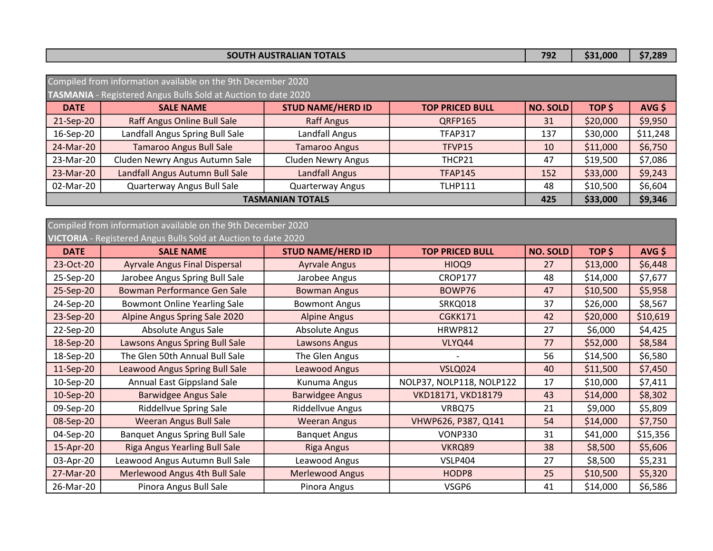|  | <b>TH AUSTRALIAN TOTALS</b><br><b>SOU</b> | 792 | .000 | \$7,28° |
|--|-------------------------------------------|-----|------|---------|
|--|-------------------------------------------|-----|------|---------|

|                         | Compiled from information available on the 9th December 2020   |                           |                        |                 |          |          |  |  |
|-------------------------|----------------------------------------------------------------|---------------------------|------------------------|-----------------|----------|----------|--|--|
|                         | TASMANIA - Registered Angus Bulls Sold at Auction to date 2020 |                           |                        |                 |          |          |  |  |
| <b>DATE</b>             | <b>SALE NAME</b>                                               | <b>STUD NAME/HERD ID</b>  | <b>TOP PRICED BULL</b> | <b>NO. SOLD</b> | TOP \$   | $AVG$ \$ |  |  |
| 21-Sep-20               | Raff Angus Online Bull Sale                                    | <b>Raff Angus</b>         | <b>QRFP165</b>         | 31              | \$20,000 | \$9,950  |  |  |
| 16-Sep-20               | Landfall Angus Spring Bull Sale                                | Landfall Angus            | <b>TFAP317</b>         | 137             | \$30,000 | \$11,248 |  |  |
| 24-Mar-20               | <b>Tamaroo Angus Bull Sale</b>                                 | <b>Tamaroo Angus</b>      | TFVP15                 | 10              | \$11,000 | \$6,750  |  |  |
| 23-Mar-20               | Cluden Newry Angus Autumn Sale                                 | <b>Cluden Newry Angus</b> | THCP21                 | 47              | \$19,500 | \$7,086  |  |  |
| 23-Mar-20               | Landfall Angus Autumn Bull Sale                                | <b>Landfall Angus</b>     | <b>TFAP145</b>         | 152             | \$33,000 | \$9,243  |  |  |
| 02-Mar-20               | Quarterway Angus Bull Sale                                     | <b>Quarterway Angus</b>   | <b>TLHP111</b>         | 48              | \$10,500 | \$6,604  |  |  |
| <b>TASMANIAN TOTALS</b> |                                                                |                           |                        | 425             | \$33,000 | \$9,346  |  |  |

## VICTORIA - Registered Angus Bulls Sold at Auction to date 2020 Compiled from information available on the 9th December 2020

| <b>DATE</b> | <b>SALE NAME</b>                      | <b>STUD NAME/HERD ID</b> | <b>TOP PRICED BULL</b>   | <b>NO. SOLD</b> | TOP \$   | $AVG$ \$ |
|-------------|---------------------------------------|--------------------------|--------------------------|-----------------|----------|----------|
| 23-Oct-20   | <b>Ayrvale Angus Final Dispersal</b>  | <b>Ayrvale Angus</b>     | HIOQ9                    | 27              | \$13,000 | \$6,448  |
| 25-Sep-20   | Jarobee Angus Spring Bull Sale        | Jarobee Angus            | <b>CROP177</b>           | 48              | \$14,000 | \$7,677  |
| 25-Sep-20   | Bowman Performance Gen Sale           | <b>Bowman Angus</b>      | BOWP76                   | 47              | \$10,500 | \$5,958  |
| 24-Sep-20   | <b>Bowmont Online Yearling Sale</b>   | <b>Bowmont Angus</b>     | SRKQ018                  | 37              | \$26,000 | \$8,567  |
| 23-Sep-20   | Alpine Angus Spring Sale 2020         | <b>Alpine Angus</b>      | <b>CGKK171</b>           | 42              | \$20,000 | \$10,619 |
| 22-Sep-20   | Absolute Angus Sale                   | Absolute Angus           | <b>HRWP812</b>           | 27              | \$6,000  | \$4,425  |
| 18-Sep-20   | Lawsons Angus Spring Bull Sale        | Lawsons Angus            | VLYQ44                   | 77              | \$52,000 | \$8,584  |
| 18-Sep-20   | The Glen 50th Annual Bull Sale        | The Glen Angus           |                          | 56              | \$14,500 | \$6,580  |
| 11-Sep-20   | <b>Leawood Angus Spring Bull Sale</b> | Leawood Angus            | <b>VSLQ024</b>           | 40              | \$11,500 | \$7,450  |
| 10-Sep-20   | Annual East Gippsland Sale            | Kunuma Angus             | NOLP37, NOLP118, NOLP122 | 17              | \$10,000 | \$7,411  |
| 10-Sep-20   | <b>Barwidgee Angus Sale</b>           | <b>Barwidgee Angus</b>   | VKD18171, VKD18179       | 43              | \$14,000 | \$8,302  |
| 09-Sep-20   | Riddellvue Spring Sale                | Riddellvue Angus         | VRBQ75                   | 21              | \$9,000  | \$5,809  |
| 08-Sep-20   | <b>Weeran Angus Bull Sale</b>         | <b>Weeran Angus</b>      | VHWP626, P387, Q141      | 54              | \$14,000 | \$7,750  |
| 04-Sep-20   | <b>Banquet Angus Spring Bull Sale</b> | <b>Banquet Angus</b>     | VONP330                  | 31              | \$41,000 | \$15,356 |
| 15-Apr-20   | <b>Riga Angus Yearling Bull Sale</b>  | <b>Riga Angus</b>        | VKRQ89                   | 38              | \$8,500  | \$5,606  |
| 03-Apr-20   | Leawood Angus Autumn Bull Sale        | Leawood Angus            | <b>VSLP404</b>           | 27              | \$8,500  | \$5,231  |
| 27-Mar-20   | Merlewood Angus 4th Bull Sale         | <b>Merlewood Angus</b>   | HODP8                    | 25              | \$10,500 | \$5,320  |
| 26-Mar-20   | Pinora Angus Bull Sale                | Pinora Angus             | VSGP6                    | 41              | \$14,000 | \$6,586  |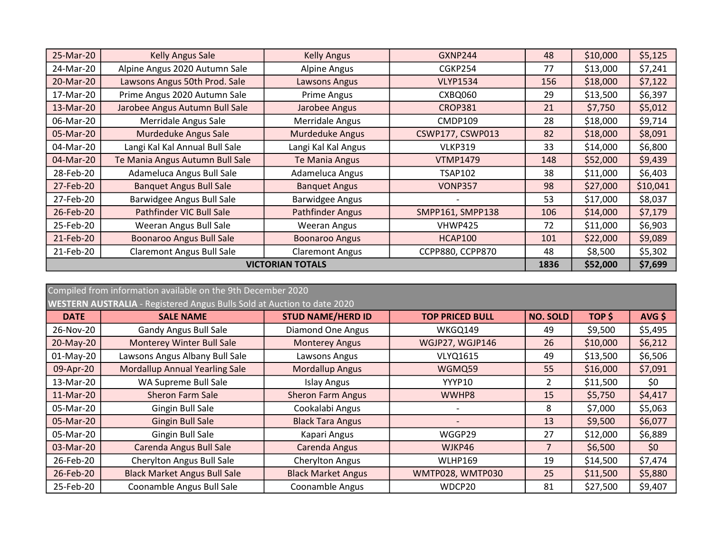| 25-Mar-20               | Kelly Angus Sale                 | <b>Kelly Angus</b>      | GXNP244                 | 48  | \$10,000 | \$5,125  |
|-------------------------|----------------------------------|-------------------------|-------------------------|-----|----------|----------|
| 24-Mar-20               | Alpine Angus 2020 Autumn Sale    | Alpine Angus            | CGKP254                 | 77  | \$13,000 | \$7,241  |
| 20-Mar-20               | Lawsons Angus 50th Prod. Sale    | Lawsons Angus           | <b>VLYP1534</b>         | 156 | \$18,000 | \$7,122  |
| 17-Mar-20               | Prime Angus 2020 Autumn Sale     | Prime Angus             | CXBQ060                 | 29  | \$13,500 | \$6,397  |
| 13-Mar-20               | Jarobee Angus Autumn Bull Sale   | Jarobee Angus           | <b>CROP381</b>          | 21  | \$7,750  | \$5,012  |
| 06-Mar-20               | Merridale Angus Sale             | Merridale Angus         | CMDP109                 | 28  | \$18,000 | \$9,714  |
| 05-Mar-20               | Murdeduke Angus Sale             | <b>Murdeduke Angus</b>  | CSWP177, CSWP013        | 82  | \$18,000 | \$8,091  |
| 04-Mar-20               | Langi Kal Kal Annual Bull Sale   | Langi Kal Kal Angus     | <b>VLKP319</b>          | 33  | \$14,000 | \$6,800  |
| 04-Mar-20               | Te Mania Angus Autumn Bull Sale  | Te Mania Angus          | <b>VTMP1479</b>         | 148 | \$52,000 | \$9,439  |
| 28-Feb-20               | Adameluca Angus Bull Sale        | Adameluca Angus         | <b>TSAP102</b>          | 38  | \$11,000 | \$6,403  |
| 27-Feb-20               | <b>Banquet Angus Bull Sale</b>   | <b>Banquet Angus</b>    | <b>VONP357</b>          | 98  | \$27,000 | \$10,041 |
| 27-Feb-20               | Barwidgee Angus Bull Sale        | Barwidgee Angus         |                         | 53  | \$17,000 | \$8,037  |
| 26-Feb-20               | Pathfinder VIC Bull Sale         | <b>Pathfinder Angus</b> | SMPP161, SMPP138        | 106 | \$14,000 | \$7,179  |
| 25-Feb-20               | Weeran Angus Bull Sale           | Weeran Angus            | VHWP425                 | 72  | \$11,000 | \$6,903  |
| 21-Feb-20               | <b>Boonaroo Angus Bull Sale</b>  | <b>Boonaroo Angus</b>   | HCAP100                 | 101 | \$22,000 | \$9,089  |
| 21-Feb-20               | <b>Claremont Angus Bull Sale</b> | <b>Claremont Angus</b>  | <b>CCPP880, CCPP870</b> | 48  | \$8,500  | \$5,302  |
| <b>VICTORIAN TOTALS</b> |                                  |                         |                         |     | \$52,000 | \$7,699  |

| Compiled from information available on the 9th December 2020                   |                                       |                           |                        |                 |          |          |  |
|--------------------------------------------------------------------------------|---------------------------------------|---------------------------|------------------------|-----------------|----------|----------|--|
| <b>WESTERN AUSTRALIA</b> - Registered Angus Bulls Sold at Auction to date 2020 |                                       |                           |                        |                 |          |          |  |
| <b>DATE</b>                                                                    | <b>SALE NAME</b>                      | <b>STUD NAME/HERD ID</b>  | <b>TOP PRICED BULL</b> | <b>NO. SOLD</b> | TOP \$   | $AVG$ \$ |  |
| 26-Nov-20                                                                      | <b>Gandy Angus Bull Sale</b>          | <b>Diamond One Angus</b>  | WKGQ149                | 49              | \$9,500  | \$5,495  |  |
| 20-May-20                                                                      | <b>Monterey Winter Bull Sale</b>      | <b>Monterey Angus</b>     | WGJP27, WGJP146        | 26              | \$10,000 | \$6,212  |  |
| 01-May-20                                                                      | Lawsons Angus Albany Bull Sale        | Lawsons Angus             | <b>VLYQ1615</b>        | 49              | \$13,500 | \$6,506  |  |
| 09-Apr-20                                                                      | <b>Mordallup Annual Yearling Sale</b> | <b>Mordallup Angus</b>    | WGMQ59                 | 55              | \$16,000 | \$7,091  |  |
| 13-Mar-20                                                                      | WA Supreme Bull Sale                  | <b>Islay Angus</b>        | YYYP10                 | $\overline{2}$  | \$11,500 | \$0      |  |
| 11-Mar-20                                                                      | <b>Sheron Farm Sale</b>               | <b>Sheron Farm Angus</b>  | WWHP8                  | 15              | \$5,750  | \$4,417  |  |
| 05-Mar-20                                                                      | Gingin Bull Sale                      | Cookalabi Angus           |                        | 8               | \$7,000  | \$5,063  |  |
| 05-Mar-20                                                                      | <b>Gingin Bull Sale</b>               | <b>Black Tara Angus</b>   |                        | 13              | \$9,500  | \$6,077  |  |
| 05-Mar-20                                                                      | Gingin Bull Sale                      | Kapari Angus              | WGGP29                 | 27              | \$12,000 | \$6,889  |  |
| 03-Mar-20                                                                      | Carenda Angus Bull Sale               | Carenda Angus             | WJKP46                 | $\overline{7}$  | \$6,500  | \$0      |  |
| 26-Feb-20                                                                      | Cherylton Angus Bull Sale             | Cherylton Angus           | <b>WLHP169</b>         | 19              | \$14,500 | \$7,474  |  |
| 26-Feb-20                                                                      | <b>Black Market Angus Bull Sale</b>   | <b>Black Market Angus</b> | WMTP028, WMTP030       | 25              | \$11,500 | \$5,880  |  |
| 25-Feb-20                                                                      | Coonamble Angus Bull Sale             | Coonamble Angus           | WDCP20                 | 81              | \$27,500 | \$9,407  |  |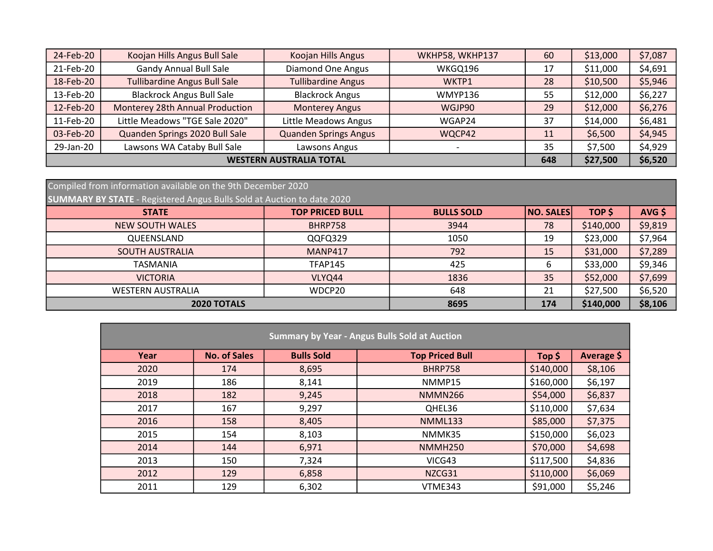| 24-Feb-20                      | Koojan Hills Angus Bull Sale        | Koojan Hills Angus           | WKHP58, WKHP137 | 60 | \$13,000 | \$7,087 |
|--------------------------------|-------------------------------------|------------------------------|-----------------|----|----------|---------|
| 21-Feb-20                      | <b>Gandy Annual Bull Sale</b>       | <b>Diamond One Angus</b>     | WKGQ196         | 17 | \$11,000 | \$4,691 |
| 18-Feb-20                      | <b>Tullibardine Angus Bull Sale</b> | <b>Tullibardine Angus</b>    | WKTP1           | 28 | \$10,500 | \$5,946 |
| 13-Feb-20                      | <b>Blackrock Angus Bull Sale</b>    | <b>Blackrock Angus</b>       | WMYP136         | 55 | \$12,000 | \$6,227 |
| 12-Feb-20                      | Monterey 28th Annual Production     | <b>Monterey Angus</b>        | WGJP90          | 29 | \$12,000 | \$6,276 |
| 11-Feb-20                      | Little Meadows "TGE Sale 2020"      | Little Meadows Angus         | WGAP24          | 37 | \$14,000 | \$6,481 |
| 03-Feb-20                      | Quanden Springs 2020 Bull Sale      | <b>Quanden Springs Angus</b> | WQCP42          | 11 | \$6,500  | \$4,945 |
| 29-Jan-20                      | Lawsons WA Cataby Bull Sale         | Lawsons Angus                |                 | 35 | \$7,500  | \$4,929 |
| <b>WESTERN AUSTRALIA TOTAL</b> |                                     |                              |                 |    | \$27,500 | \$6,520 |

| Compiled from information available on the 9th December 2020                  |                        |                   |                  |           |          |  |  |
|-------------------------------------------------------------------------------|------------------------|-------------------|------------------|-----------|----------|--|--|
| <b>SUMMARY BY STATE</b> - Registered Angus Bulls Sold at Auction to date 2020 |                        |                   |                  |           |          |  |  |
| <b>STATE</b>                                                                  | <b>TOP PRICED BULL</b> | <b>BULLS SOLD</b> | <b>NO. SALES</b> | TOP \$    | $AVG$ \$ |  |  |
| <b>NEW SOUTH WALES</b>                                                        | BHRP758                | 3944              | 78               | \$140,000 | \$9,819  |  |  |
| QUEENSLAND                                                                    | QQFQ329                | 1050              | 19               | \$23,000  | \$7,964  |  |  |
| <b>SOUTH AUSTRALIA</b>                                                        | <b>MANP417</b>         | 792               | 15               | \$31,000  | \$7,289  |  |  |
| <b>TASMANIA</b>                                                               | <b>TFAP145</b>         | 425               | 6                | \$33,000  | \$9,346  |  |  |
| <b>VICTORIA</b>                                                               | VLYQ44                 | 1836              | 35               | \$52,000  | \$7,699  |  |  |
| <b>WESTERN AUSTRALIA</b>                                                      | WDCP20                 | 648               | 21               | \$27,500  | \$6,520  |  |  |
| 2020 TOTALS                                                                   |                        | 8695              | 174              | \$140,000 | \$8,106  |  |  |

| <b>Summary by Year - Angus Bulls Sold at Auction</b> |                     |                   |                        |           |            |  |  |  |
|------------------------------------------------------|---------------------|-------------------|------------------------|-----------|------------|--|--|--|
| Year                                                 | <b>No. of Sales</b> | <b>Bulls Sold</b> | <b>Top Priced Bull</b> | Top $$$   | Average \$ |  |  |  |
| 2020                                                 | 174                 | 8,695             | <b>BHRP758</b>         | \$140,000 | \$8,106    |  |  |  |
| 2019                                                 | 186                 | 8,141             | NMMP15                 | \$160,000 | \$6,197    |  |  |  |
| 2018                                                 | 182                 | 9,245             | <b>NMMN266</b>         | \$54,000  | \$6,837    |  |  |  |
| 2017                                                 | 167                 | 9,297             | QHEL36                 | \$110,000 | \$7,634    |  |  |  |
| 2016                                                 | 158                 | 8,405             | <b>NMML133</b>         | \$85,000  | \$7,375    |  |  |  |
| 2015                                                 | 154                 | 8,103             | NMMK35                 | \$150,000 | \$6,023    |  |  |  |
| 2014                                                 | 144                 | 6,971             | <b>NMMH250</b>         | \$70,000  | \$4,698    |  |  |  |
| 2013                                                 | 150                 | 7,324             | VICG43                 | \$117,500 | \$4,836    |  |  |  |
| 2012                                                 | 129                 | 6,858             | NZCG31                 | \$110,000 | \$6,069    |  |  |  |
| 2011                                                 | 129                 | 6,302             | VTME343                | \$91,000  | \$5,246    |  |  |  |